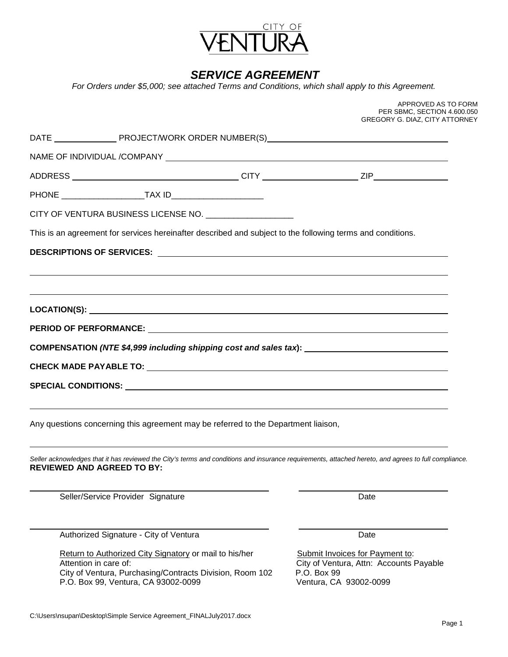

# *SERVICE AGREEMENT*

*For Orders under \$5,000; see attached Terms and Conditions, which shall apply to this Agreement.* 

|                                                                                                                                                                                           | APPROVED AS TO FORM<br>PER SBMC, SECTION 4.600.050<br>GREGORY G. DIAZ, CITY ATTORNEY |
|-------------------------------------------------------------------------------------------------------------------------------------------------------------------------------------------|--------------------------------------------------------------------------------------|
|                                                                                                                                                                                           |                                                                                      |
|                                                                                                                                                                                           |                                                                                      |
|                                                                                                                                                                                           |                                                                                      |
|                                                                                                                                                                                           |                                                                                      |
| CITY OF VENTURA BUSINESS LICENSE NO. __________________                                                                                                                                   |                                                                                      |
| This is an agreement for services hereinafter described and subject to the following terms and conditions.                                                                                |                                                                                      |
|                                                                                                                                                                                           |                                                                                      |
|                                                                                                                                                                                           |                                                                                      |
|                                                                                                                                                                                           |                                                                                      |
|                                                                                                                                                                                           |                                                                                      |
|                                                                                                                                                                                           |                                                                                      |
| COMPENSATION (NTE \$4,999 including shipping cost and sales tax): ___________________________________                                                                                     |                                                                                      |
|                                                                                                                                                                                           |                                                                                      |
|                                                                                                                                                                                           |                                                                                      |
|                                                                                                                                                                                           |                                                                                      |
| Any questions concerning this agreement may be referred to the Department liaison,                                                                                                        |                                                                                      |
|                                                                                                                                                                                           |                                                                                      |
| Seller acknowledges that it has reviewed the City's terms and conditions and insurance requirements, attached hereto, and agrees to full compliance.<br><b>REVIEWED AND AGREED TO BY:</b> |                                                                                      |
|                                                                                                                                                                                           |                                                                                      |
| Seller/Service Provider Signature                                                                                                                                                         | Date                                                                                 |
|                                                                                                                                                                                           |                                                                                      |
| Authorized Signature - City of Ventura                                                                                                                                                    | Date                                                                                 |
| Return to Authorized City Signatory or mail to his/her<br>Attention in care of:                                                                                                           | Submit Invoices for Payment to:<br>City of Ventura, Attn: Accounts Payable           |
| City of Ventura, Purchasing/Contracts Division, Room 102                                                                                                                                  | P.O. Box 99                                                                          |
| P.O. Box 99, Ventura, CA 93002-0099                                                                                                                                                       | Ventura, CA 93002-0099                                                               |
|                                                                                                                                                                                           |                                                                                      |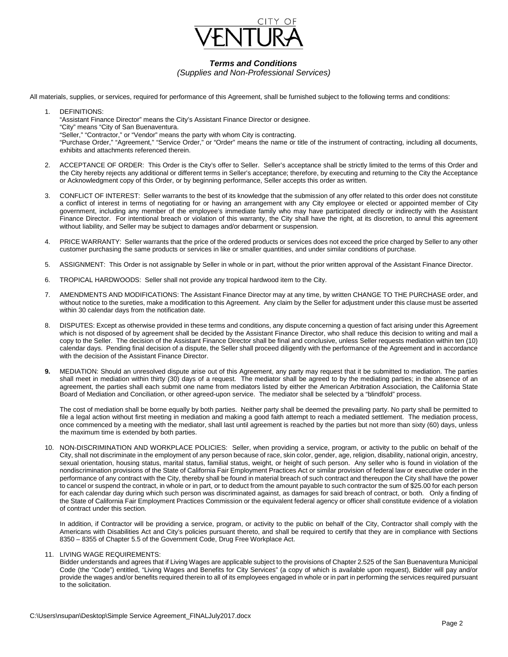

# *Terms and Conditions*

*(Supplies and Non-Professional Services)*

All materials, supplies, or services, required for performance of this Agreement, shall be furnished subject to the following terms and conditions:

- 1. DEFINITIONS: "Assistant Finance Director" means the City's Assistant Finance Director or designee. "City" means "City of San Buenaventura. "Seller," "Contractor," or "Vendor" means the party with whom City is contracting. "Purchase Order," "Agreement," "Service Order," or "Order" means the name or title of the instrument of contracting, including all documents, exhibits and attachments referenced therein.
- 2. ACCEPTANCE OF ORDER: This Order is the City's offer to Seller. Seller's acceptance shall be strictly limited to the terms of this Order and the City hereby rejects any additional or different terms in Seller's acceptance; therefore, by executing and returning to the City the Acceptance or Acknowledgment copy of this Order, or by beginning performance, Seller accepts this order as written.
- 3. CONFLICT OF INTEREST: Seller warrants to the best of its knowledge that the submission of any offer related to this order does not constitute a conflict of interest in terms of negotiating for or having an arrangement with any City employee or elected or appointed member of City government, including any member of the employee's immediate family who may have participated directly or indirectly with the Assistant Finance Director. For intentional breach or violation of this warranty, the City shall have the right, at its discretion, to annul this agreement without liability, and Seller may be subject to damages and/or debarment or suspension.
- 4. PRICE WARRANTY: Seller warrants that the price of the ordered products or services does not exceed the price charged by Seller to any other customer purchasing the same products or services in like or smaller quantities, and under similar conditions of purchase.
- 5. ASSIGNMENT: This Order is not assignable by Seller in whole or in part, without the prior written approval of the Assistant Finance Director.
- 6. TROPICAL HARDWOODS: Seller shall not provide any tropical hardwood item to the City.
- 7. AMENDMENTS AND MODIFICATIONS: The Assistant Finance Director may at any time, by written CHANGE TO THE PURCHASE order, and without notice to the sureties, make a modification to this Agreement. Any claim by the Seller for adjustment under this clause must be asserted within 30 calendar days from the notification date.
- 8. DISPUTES: Except as otherwise provided in these terms and conditions, any dispute concerning a question of fact arising under this Agreement which is not disposed of by agreement shall be decided by the Assistant Finance Director, who shall reduce this decision to writing and mail a copy to the Seller. The decision of the Assistant Finance Director shall be final and conclusive, unless Seller requests mediation within ten (10) calendar days. Pending final decision of a dispute, the Seller shall proceed diligently with the performance of the Agreement and in accordance with the decision of the Assistant Finance Director.
- **9.** MEDIATION: Should an unresolved dispute arise out of this Agreement, any party may request that it be submitted to mediation. The parties shall meet in mediation within thirty (30) days of a request. The mediator shall be agreed to by the mediating parties; in the absence of an agreement, the parties shall each submit one name from mediators listed by either the American Arbitration Association, the California State Board of Mediation and Conciliation, or other agreed-upon service. The mediator shall be selected by a "blindfold" process.

The cost of mediation shall be borne equally by both parties. Neither party shall be deemed the prevailing party. No party shall be permitted to file a legal action without first meeting in mediation and making a good faith attempt to reach a mediated settlement. The mediation process, once commenced by a meeting with the mediator, shall last until agreement is reached by the parties but not more than sixty (60) days, unless the maximum time is extended by both parties.

10. NON-DISCRIMINATION AND WORKPLACE POLICIES: Seller, when providing a service, program, or activity to the public on behalf of the City, shall not discriminate in the employment of any person because of race, skin color, gender, age, religion, disability, national origin, ancestry, sexual orientation, housing status, marital status, familial status, weight, or height of such person. Any seller who is found in violation of the nondiscrimination provisions of the State of California Fair Employment Practices Act or similar provision of federal law or executive order in the performance of any contract with the City, thereby shall be found in material breach of such contract and thereupon the City shall have the power to cancel or suspend the contract, in whole or in part, or to deduct from the amount payable to such contractor the sum of \$25.00 for each person for each calendar day during which such person was discriminated against, as damages for said breach of contract, or both. Only a finding of the State of California Fair Employment Practices Commission or the equivalent federal agency or officer shall constitute evidence of a violation of contract under this section.

In addition, if Contractor will be providing a service, program, or activity to the public on behalf of the City, Contractor shall comply with the Americans with Disabilities Act and City's policies pursuant thereto, and shall be required to certify that they are in compliance with Sections 8350 – 8355 of Chapter 5.5 of the Government Code, Drug Free Workplace Act.

11. LIVING WAGE REQUIREMENTS:

Bidder understands and agrees that if Living Wages are applicable subject to the provisions of Chapter 2.525 of the San Buenaventura Municipal Code (the "Code") entitled, "Living Wages and Benefits for City Services" (a copy of which is available upon request), Bidder will pay and/or provide the wages and/or benefits required therein to all of its employees engaged in whole or in part in performing the services required pursuant to the solicitation.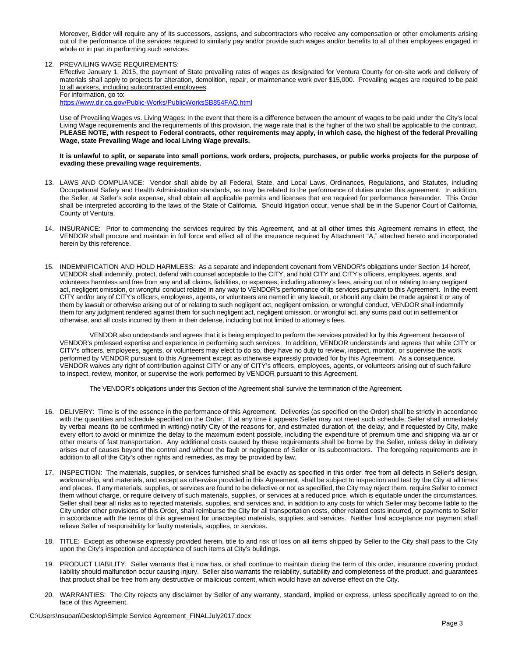Moreover, Bidder will require any of its successors, assigns, and subcontractors who receive any compensation or other emoluments arising out of the performance of the services required to similarly pay and/or provide such wages and/or benefits to all of their employees engaged in whole or in part in performing such services.

#### 12. PREVAILING WAGE REQUIREMENTS:

Effective January 1, 2015, the payment of State prevailing rates of wages as designated for Ventura County for on-site work and delivery of materials shall apply to projects for alteration, demolition, repair, or maintenance work over \$15,000. Prevailing wages are required to be paid to all workers, including subcontracted employees.

For information, go to:

<https://www.dir.ca.gov/Public-Works/PublicWorksSB854FAQ.html>

Use of Prevailing Wages vs. Living Wages: In the event that there is a difference between the amount of wages to be paid under the City's local Living Wage requirements and the requirements of this provision, the wage rate that is the higher of the two shall be applicable to the contract. **PLEASE NOTE, with respect to Federal contracts, other requirements may apply, in which case, the highest of the federal Prevailing Wage, state Prevailing Wage and local Living Wage prevails.**

#### **It is unlawful to split, or separate into small portions, work orders, projects, purchases, or public works projects for the purpose of evading these prevailing wage requirements.**

- 13. LAWS AND COMPLIANCE: Vendor shall abide by all Federal, State, and Local Laws, Ordinances, Regulations, and Statutes, including Occupational Safety and Health Administration standards, as may be related to the performance of duties under this agreement. In addition, the Seller, at Seller's sole expense, shall obtain all applicable permits and licenses that are required for performance hereunder. This Order shall be interpreted according to the laws of the State of California. Should litigation occur, venue shall be in the Superior Court of California, County of Ventura.
- 14. INSURANCE: Prior to commencing the services required by this Agreement, and at all other times this Agreement remains in effect, the VENDOR shall procure and maintain in full force and effect all of the insurance required by Attachment "A," attached hereto and incorporated herein by this reference.
- 15. INDEMNIFICATION AND HOLD HARMLESS: As a separate and independent covenant from VENDOR's obligations under Section 14 hereof, VENDOR shall indemnify, protect, defend with counsel acceptable to the CITY, and hold CITY and CITY's officers, employees, agents, and volunteers harmless and free from any and all claims, liabilities, or expenses, including attorney's fees, arising out of or relating to any negligent act, negligent omission, or wrongful conduct related in any way to VENDOR's performance of its services pursuant to this Agreement. In the event CITY and/or any of CITY's officers, employees, agents, or volunteers are named in any lawsuit, or should any claim be made against it or any of them by lawsuit or otherwise arising out of or relating to such negligent act, negligent omission, or wrongful conduct, VENDOR shall indemnify them for any judgment rendered against them for such negligent act, negligent omission, or wrongful act, any sums paid out in settlement or otherwise, and all costs incurred by them in their defense, including but not limited to attorney's fees.

VENDOR also understands and agrees that it is being employed to perform the services provided for by this Agreement because of VENDOR's professed expertise and experience in performing such services. In addition, VENDOR understands and agrees that while CITY or CITY's officers, employees, agents, or volunteers may elect to do so, they have no duty to review, inspect, monitor, or supervise the work performed by VENDOR pursuant to this Agreement except as otherwise expressly provided for by this Agreement. As a consequence, VENDOR waives any right of contribution against CITY or any of CITY's officers, employees, agents, or volunteers arising out of such failure to inspect, review, monitor, or supervise the work performed by VENDOR pursuant to this Agreement.

The VENDOR's obligations under this Section of the Agreement shall survive the termination of the Agreement.

- 16. DELIVERY: Time is of the essence in the performance of this Agreement. Deliveries (as specified on the Order) shall be strictly in accordance with the quantities and schedule specified on the Order. If at any time it appears Seller may not meet such schedule, Seller shall immediately by verbal means (to be confirmed in writing) notify City of the reasons for, and estimated duration of, the delay, and if requested by City, make every effort to avoid or minimize the delay to the maximum extent possible, including the expenditure of premium time and shipping via air or other means of fast transportation. Any additional costs caused by these requirements shall be borne by the Seller, unless delay in delivery arises out of causes beyond the control and without the fault or negligence of Seller or its subcontractors. The foregoing requirements are in addition to all of the City's other rights and remedies, as may be provided by law.
- 17. INSPECTION: The materials, supplies, or services furnished shall be exactly as specified in this order, free from all defects in Seller's design, workmanship, and materials, and except as otherwise provided in this Agreement, shall be subject to inspection and test by the City at all times and places. If any materials, supplies, or services are found to be defective or not as specified, the City may reject them, require Seller to correct them without charge, or require delivery of such materials, supplies, or services at a reduced price, which is equitable under the circumstances. Seller shall bear all risks as to rejected materials, supplies, and services and, in addition to any costs for which Seller may become liable to the City under other provisions of this Order, shall reimburse the City for all transportation costs, other related costs incurred, or payments to Seller in accordance with the terms of this agreement for unaccepted materials, supplies, and services. Neither final acceptance nor payment shall relieve Seller of responsibility for faulty materials, supplies, or services.
- 18. TITLE: Except as otherwise expressly provided herein, title to and risk of loss on all items shipped by Seller to the City shall pass to the City upon the City's inspection and acceptance of such items at City's buildings.
- 19. PRODUCT LIABILITY: Seller warrants that it now has, or shall continue to maintain during the term of this order, insurance covering product liability should malfunction occur causing injury. Seller also warrants the reliability, suitability and completeness of the product, and guarantees that product shall be free from any destructive or malicious content, which would have an adverse effect on the City.
- 20. WARRANTIES: The City rejects any disclaimer by Seller of any warranty, standard, implied or express, unless specifically agreed to on the face of this Agreement.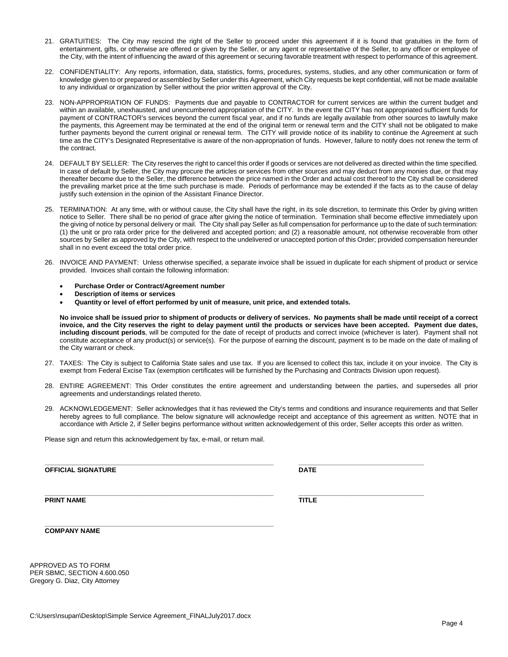C:\Users\nsupan\Desktop\Simple Service Agreement\_FINALJuly2017.docx

- 21. GRATUITIES: The City may rescind the right of the Seller to proceed under this agreement if it is found that gratuities in the form of entertainment, gifts, or otherwise are offered or given by the Seller, or any agent or representative of the Seller, to any officer or employee of the City, with the intent of influencing the award of this agreement or securing favorable treatment with respect to performance of this agreement.
- 22. CONFIDENTIALITY: Any reports, information, data, statistics, forms, procedures, systems, studies, and any other communication or form of knowledge given to or prepared or assembled by Seller under this Agreement, which City requests be kept confidential, will not be made available to any individual or organization by Seller without the prior written approval of the City.
- 23. NON-APPROPRIATION OF FUNDS: Payments due and payable to CONTRACTOR for current services are within the current budget and within an available, unexhausted, and unencumbered appropriation of the CITY. In the event the CITY has not appropriated sufficient funds for payment of CONTRACTOR's services beyond the current fiscal year, and if no funds are legally available from other sources to lawfully make the payments, this Agreement may be terminated at the end of the original term or renewal term and the CITY shall not be obligated to make further payments beyond the current original or renewal term. The CITY will provide notice of its inability to continue the Agreement at such time as the CITY's Designated Representative is aware of the non-appropriation of funds. However, failure to notify does not renew the term of the contract.
- 24. DEFAULT BY SELLER: The City reserves the right to cancel this order if goods or services are not delivered as directed within the time specified. In case of default by Seller, the City may procure the articles or services from other sources and may deduct from any monies due, or that may thereafter become due to the Seller, the difference between the price named in the Order and actual cost thereof to the City shall be considered the prevailing market price at the time such purchase is made. Periods of performance may be extended if the facts as to the cause of delay justify such extension in the opinion of the Assistant Finance Director.
- 25. TERMINATION: At any time, with or without cause, the City shall have the right, in its sole discretion, to terminate this Order by giving written notice to Seller. There shall be no period of grace after giving the notice of termination. Termination shall become effective immediately upon the giving of notice by personal delivery or mail. The City shall pay Seller as full compensation for performance up to the date of such termination: (1) the unit or pro rata order price for the delivered and accepted portion; and (2) a reasonable amount, not otherwise recoverable from other sources by Seller as approved by the City, with respect to the undelivered or unaccepted portion of this Order; provided compensation hereunder shall in no event exceed the total order price.
- 26. INVOICE AND PAYMENT: Unless otherwise specified, a separate invoice shall be issued in duplicate for each shipment of product or service provided. Invoices shall contain the following information:
	- **Purchase Order or Contract/Agreement number**
	- **Description of items or services**
	- **Quantity or level of effort performed by unit of measure, unit price, and extended totals.**

**No invoice shall be issued prior to shipment of products or delivery of services. No payments shall be made until receipt of a correct invoice, and the City reserves the right to delay payment until the products or services have been accepted. Payment due dates, including discount periods**, will be computed for the date of receipt of products and correct invoice (whichever is later). Payment shall not constitute acceptance of any product(s) or service(s). For the purpose of earning the discount, payment is to be made on the date of mailing of the City warrant or check.

- 27. TAXES: The City is subject to California State sales and use tax. If you are licensed to collect this tax, include it on your invoice. The City is exempt from Federal Excise Tax (exemption certificates will be furnished by the Purchasing and Contracts Division upon request).
- 28. ENTIRE AGREEMENT: This Order constitutes the entire agreement and understanding between the parties, and supersedes all prior agreements and understandings related thereto.
- 29. ACKNOWLEDGEMENT: Seller acknowledges that it has reviewed the City's terms and conditions and insurance requirements and that Seller hereby agrees to full compliance. The below signature will acknowledge receipt and acceptance of this agreement as written. NOTE that in accordance with Article 2, if Seller begins performance without written acknowledgement of this order, Seller accepts this order as written.

Please sign and return this acknowledgement by fax, e-mail, or return mail.

**\_\_\_\_\_\_\_\_\_\_\_\_\_\_\_\_\_\_\_\_\_\_\_\_\_\_\_\_\_\_\_\_\_\_\_\_\_\_\_\_\_\_\_\_\_\_\_\_\_\_\_\_\_\_\_\_\_\_\_\_\_\_**

**\_\_\_\_\_\_\_\_\_\_\_\_\_\_\_\_\_\_\_\_\_\_\_\_\_\_\_\_\_\_\_\_\_\_\_\_\_\_\_\_\_\_\_\_\_\_\_\_\_\_\_\_\_\_\_\_\_\_\_\_\_\_ \_\_\_\_\_\_\_\_\_\_\_\_\_\_\_\_\_\_\_\_\_\_\_\_\_\_\_\_\_\_\_\_\_\_ OFFICIAL SIGNATURE DATE**

**COMPANY NAME**

APPROVED AS TO FORM PER SBMC, SECTION 4.600.050 Gregory G. Diaz, City Attorney

**\_\_\_\_\_\_\_\_\_\_\_\_\_\_\_\_\_\_\_\_\_\_\_\_\_\_\_\_\_\_\_\_\_\_\_\_\_\_\_\_\_\_\_\_\_\_\_\_\_\_\_\_\_\_\_\_\_\_\_\_\_\_ \_\_\_\_\_\_\_\_\_\_\_\_\_\_\_\_\_\_\_\_\_\_\_\_\_\_\_\_\_\_\_\_\_\_ PRINT NAME TITLE**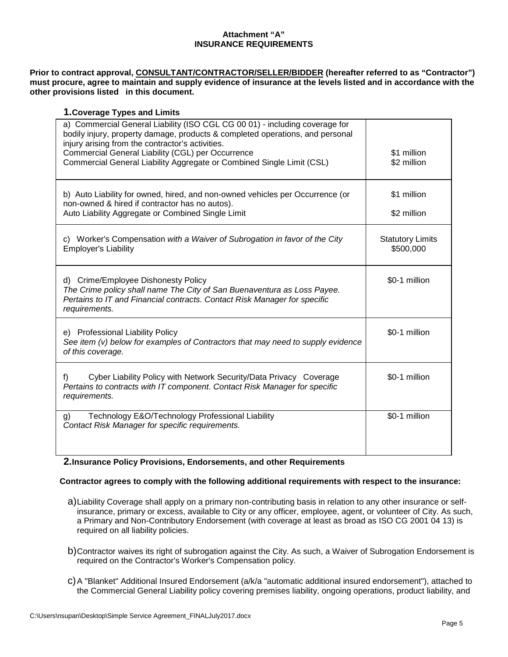## **Attachment "A" INSURANCE REQUIREMENTS**

**Prior to contract approval, CONSULTANT/CONTRACTOR/SELLER/BIDDER (hereafter referred to as "Contractor") must procure, agree to maintain and supply evidence of insurance at the levels listed and in accordance with the other provisions listed in this document.**

## **1.Coverage Types and Limits**

| a) Commercial General Liability (ISO CGL CG 00 01) - including coverage for<br>bodily injury, property damage, products & completed operations, and personal<br>injury arising from the contractor's activities.<br>Commercial General Liability (CGL) per Occurrence<br>Commercial General Liability Aggregate or Combined Single Limit (CSL) | \$1 million<br>\$2 million           |
|------------------------------------------------------------------------------------------------------------------------------------------------------------------------------------------------------------------------------------------------------------------------------------------------------------------------------------------------|--------------------------------------|
| b) Auto Liability for owned, hired, and non-owned vehicles per Occurrence (or<br>non-owned & hired if contractor has no autos).<br>Auto Liability Aggregate or Combined Single Limit                                                                                                                                                           | \$1 million<br>\$2 million           |
| c) Worker's Compensation with a Waiver of Subrogation in favor of the City<br><b>Employer's Liability</b>                                                                                                                                                                                                                                      | <b>Statutory Limits</b><br>\$500,000 |
| Crime/Employee Dishonesty Policy<br>d)<br>The Crime policy shall name The City of San Buenaventura as Loss Payee.<br>Pertains to IT and Financial contracts. Contact Risk Manager for specific<br>requirements.                                                                                                                                | \$0-1 million                        |
| e) Professional Liability Policy<br>See item $(v)$ below for examples of Contractors that may need to supply evidence<br>of this coverage.                                                                                                                                                                                                     | \$0-1 million                        |
| Cyber Liability Policy with Network Security/Data Privacy Coverage<br>f)<br>Pertains to contracts with IT component. Contact Risk Manager for specific<br>requirements.                                                                                                                                                                        | \$0-1 million                        |
| Technology E&O/Technology Professional Liability<br>g)<br>Contact Risk Manager for specific requirements.                                                                                                                                                                                                                                      | \$0-1 million                        |

**2.Insurance Policy Provisions, Endorsements, and other Requirements**

### **Contractor agrees to comply with the following additional requirements with respect to the insurance:**

- a)Liability Coverage shall apply on a primary non-contributing basis in relation to any other insurance or selfinsurance, primary or excess, available to City or any officer, employee, agent, or volunteer of City. As such, a Primary and Non-Contributory Endorsement (with coverage at least as broad as ISO CG 2001 04 13) is required on all liability policies.
- b)Contractor waives its right of subrogation against the City. As such, a Waiver of Subrogation Endorsement is required on the Contractor's Worker's Compensation policy.
- c)A "Blanket" Additional Insured Endorsement (a/k/a "automatic additional insured endorsement"), attached to the Commercial General Liability policy covering premises liability, ongoing operations, product liability, and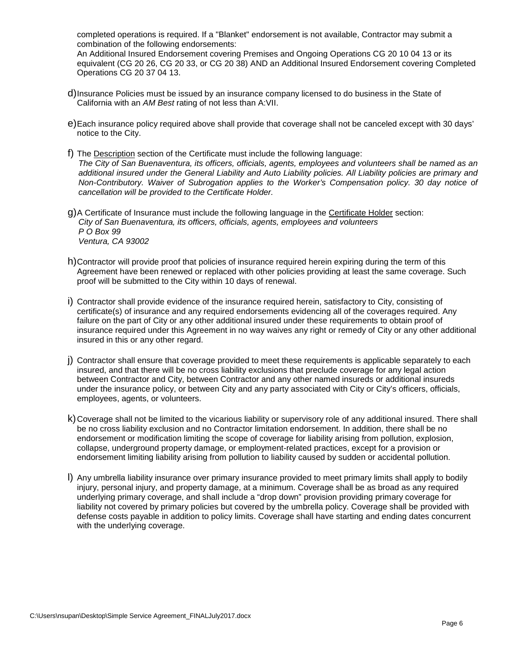completed operations is required. If a "Blanket" endorsement is not available, Contractor may submit a combination of the following endorsements:

An Additional Insured Endorsement covering Premises and Ongoing Operations CG 20 10 04 13 or its equivalent (CG 20 26, CG 20 33, or CG 20 38) AND an Additional Insured Endorsement covering Completed Operations CG 20 37 04 13.

- d)Insurance Policies must be issued by an insurance company licensed to do business in the State of California with an *AM Best* rating of not less than A:VII.
- e)Each insurance policy required above shall provide that coverage shall not be canceled except with 30 days' notice to the City.
- f) The Description section of the Certificate must include the following language: *The City of San Buenaventura, its officers, officials, agents, employees and volunteers shall be named as an additional insured under the General Liability and Auto Liability policies. All Liability policies are primary and Non-Contributory. Waiver of Subrogation applies to the Worker's Compensation policy. 30 day notice of cancellation will be provided to the Certificate Holder.*
- g)A Certificate of Insurance must include the following language in the Certificate Holder section: *City of San Buenaventura, its officers, officials, agents, employees and volunteers P O Box 99 Ventura, CA 93002*
- h)Contractor will provide proof that policies of insurance required herein expiring during the term of this Agreement have been renewed or replaced with other policies providing at least the same coverage. Such proof will be submitted to the City within 10 days of renewal.
- i) Contractor shall provide evidence of the insurance required herein, satisfactory to City, consisting of certificate(s) of insurance and any required endorsements evidencing all of the coverages required. Any failure on the part of City or any other additional insured under these requirements to obtain proof of insurance required under this Agreement in no way waives any right or remedy of City or any other additional insured in this or any other regard.
- j) Contractor shall ensure that coverage provided to meet these requirements is applicable separately to each insured, and that there will be no cross liability exclusions that preclude coverage for any legal action between Contractor and City, between Contractor and any other named insureds or additional insureds under the insurance policy, or between City and any party associated with City or City's officers, officials, employees, agents, or volunteers.
- k)Coverage shall not be limited to the vicarious liability or supervisory role of any additional insured. There shall be no cross liability exclusion and no Contractor limitation endorsement. In addition, there shall be no endorsement or modification limiting the scope of coverage for liability arising from pollution, explosion, collapse, underground property damage, or employment-related practices, except for a provision or endorsement limiting liability arising from pollution to liability caused by sudden or accidental pollution.
- l) Any umbrella liability insurance over primary insurance provided to meet primary limits shall apply to bodily injury, personal injury, and property damage, at a minimum. Coverage shall be as broad as any required underlying primary coverage, and shall include a "drop down" provision providing primary coverage for liability not covered by primary policies but covered by the umbrella policy. Coverage shall be provided with defense costs payable in addition to policy limits. Coverage shall have starting and ending dates concurrent with the underlying coverage.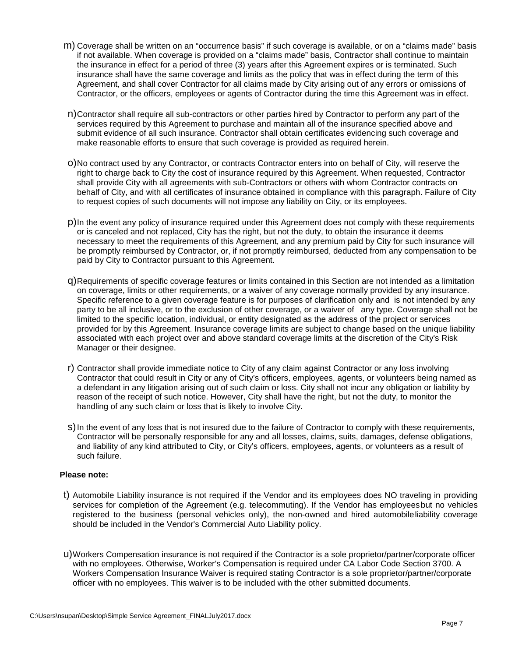- m) Coverage shall be written on an "occurrence basis" if such coverage is available, or on a "claims made" basis if not available. When coverage is provided on a "claims made" basis, Contractor shall continue to maintain the insurance in effect for a period of three (3) years after this Agreement expires or is terminated. Such insurance shall have the same coverage and limits as the policy that was in effect during the term of this Agreement, and shall cover Contractor for all claims made by City arising out of any errors or omissions of Contractor, or the officers, employees or agents of Contractor during the time this Agreement was in effect.
- n)Contractor shall require all sub-contractors or other parties hired by Contractor to perform any part of the services required by this Agreement to purchase and maintain all of the insurance specified above and submit evidence of all such insurance. Contractor shall obtain certificates evidencing such coverage and make reasonable efforts to ensure that such coverage is provided as required herein.
- o)No contract used by any Contractor, or contracts Contractor enters into on behalf of City, will reserve the right to charge back to City the cost of insurance required by this Agreement. When requested, Contractor shall provide City with all agreements with sub-Contractors or others with whom Contractor contracts on behalf of City, and with all certificates of insurance obtained in compliance with this paragraph. Failure of City to request copies of such documents will not impose any liability on City, or its employees.
- p)In the event any policy of insurance required under this Agreement does not comply with these requirements or is canceled and not replaced, City has the right, but not the duty, to obtain the insurance it deems necessary to meet the requirements of this Agreement, and any premium paid by City for such insurance will be promptly reimbursed by Contractor, or, if not promptly reimbursed, deducted from any compensation to be paid by City to Contractor pursuant to this Agreement.
- q)Requirements of specific coverage features or limits contained in this Section are not intended as a limitation on coverage, limits or other requirements, or a waiver of any coverage normally provided by any insurance. Specific reference to a given coverage feature is for purposes of clarification only and is not intended by any party to be all inclusive, or to the exclusion of other coverage, or a waiver of any type. Coverage shall not be limited to the specific location, individual, or entity designated as the address of the project or services provided for by this Agreement. Insurance coverage limits are subject to change based on the unique liability associated with each project over and above standard coverage limits at the discretion of the City's Risk Manager or their designee.
- r) Contractor shall provide immediate notice to City of any claim against Contractor or any loss involving Contractor that could result in City or any of City's officers, employees, agents, or volunteers being named as a defendant in any litigation arising out of such claim or loss. City shall not incur any obligation or liability by reason of the receipt of such notice. However, City shall have the right, but not the duty, to monitor the handling of any such claim or loss that is likely to involve City.
- S) In the event of any loss that is not insured due to the failure of Contractor to comply with these requirements, Contractor will be personally responsible for any and all losses, claims, suits, damages, defense obligations, and liability of any kind attributed to City, or City's officers, employees, agents, or volunteers as a result of such failure.

### **Please note:**

- t) Automobile Liability insurance is not required if the Vendor and its employees does NO traveling in providing services for completion of the Agreement (e.g. telecommuting). If the Vendor has employeesbut no vehicles registered to the business (personal vehicles only), the non-owned and hired automobileliability coverage should be included in the Vendor's Commercial Auto Liability policy.
- u)Workers Compensation insurance is not required if the Contractor is a sole proprietor/partner/corporate officer with no employees. Otherwise, Worker's Compensation is required under CA Labor Code Section 3700. A Workers Compensation Insurance Waiver is required stating Contractor is a sole proprietor/partner/corporate officer with no employees. This waiver is to be included with the other submitted documents.